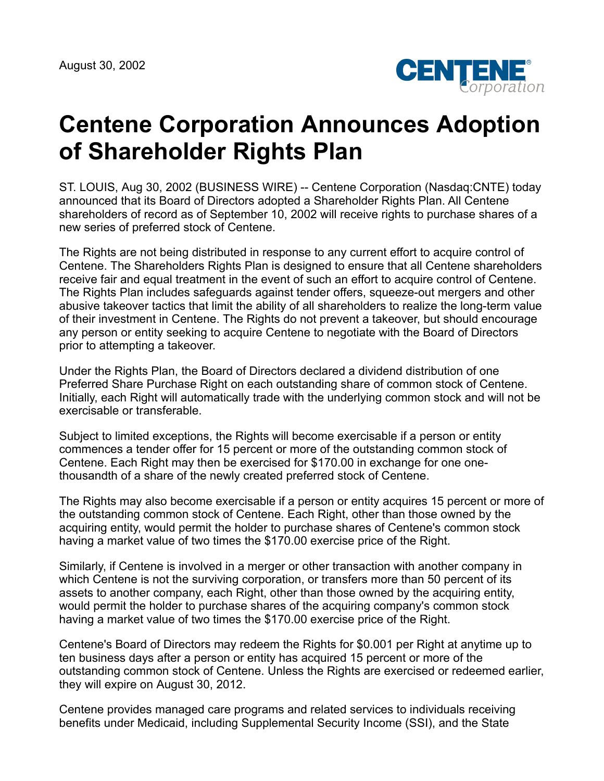

## **Centene Corporation Announces Adoption of Shareholder Rights Plan**

ST. LOUIS, Aug 30, 2002 (BUSINESS WIRE) -- Centene Corporation (Nasdaq:CNTE) today announced that its Board of Directors adopted a Shareholder Rights Plan. All Centene shareholders of record as of September 10, 2002 will receive rights to purchase shares of a new series of preferred stock of Centene.

The Rights are not being distributed in response to any current effort to acquire control of Centene. The Shareholders Rights Plan is designed to ensure that all Centene shareholders receive fair and equal treatment in the event of such an effort to acquire control of Centene. The Rights Plan includes safeguards against tender offers, squeeze-out mergers and other abusive takeover tactics that limit the ability of all shareholders to realize the long-term value of their investment in Centene. The Rights do not prevent a takeover, but should encourage any person or entity seeking to acquire Centene to negotiate with the Board of Directors prior to attempting a takeover.

Under the Rights Plan, the Board of Directors declared a dividend distribution of one Preferred Share Purchase Right on each outstanding share of common stock of Centene. Initially, each Right will automatically trade with the underlying common stock and will not be exercisable or transferable.

Subject to limited exceptions, the Rights will become exercisable if a person or entity commences a tender offer for 15 percent or more of the outstanding common stock of Centene. Each Right may then be exercised for \$170.00 in exchange for one onethousandth of a share of the newly created preferred stock of Centene.

The Rights may also become exercisable if a person or entity acquires 15 percent or more of the outstanding common stock of Centene. Each Right, other than those owned by the acquiring entity, would permit the holder to purchase shares of Centene's common stock having a market value of two times the \$170.00 exercise price of the Right.

Similarly, if Centene is involved in a merger or other transaction with another company in which Centene is not the surviving corporation, or transfers more than 50 percent of its assets to another company, each Right, other than those owned by the acquiring entity, would permit the holder to purchase shares of the acquiring company's common stock having a market value of two times the \$170.00 exercise price of the Right.

Centene's Board of Directors may redeem the Rights for \$0.001 per Right at anytime up to ten business days after a person or entity has acquired 15 percent or more of the outstanding common stock of Centene. Unless the Rights are exercised or redeemed earlier, they will expire on August 30, 2012.

Centene provides managed care programs and related services to individuals receiving benefits under Medicaid, including Supplemental Security Income (SSI), and the State